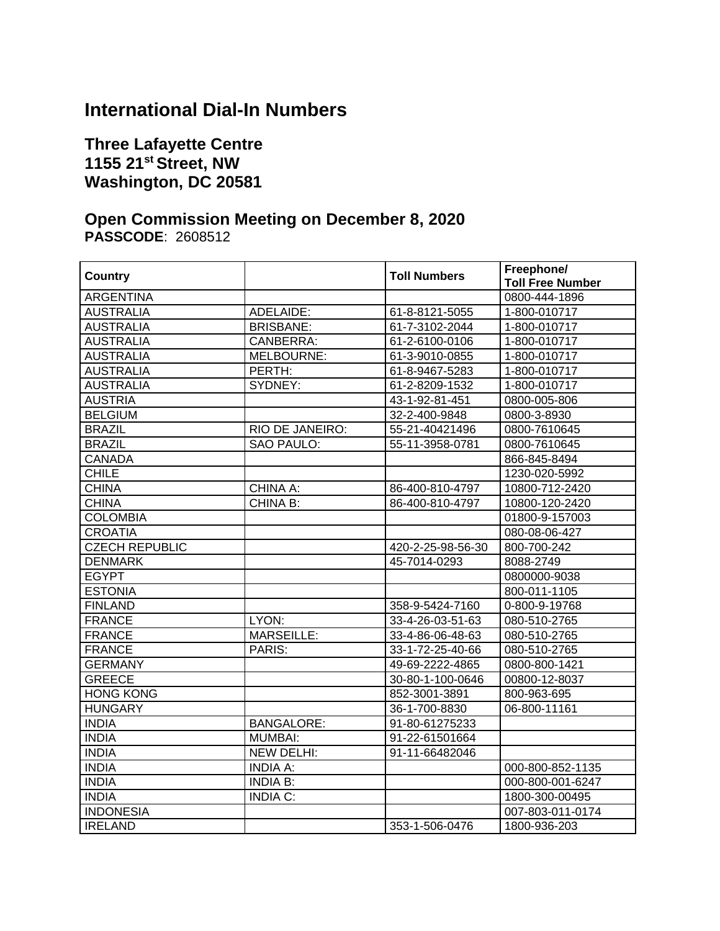## **International Dial-In Numbers**

## **Three Lafayette Centre 1155 21st Street, NW Washington, DC 20581**

## **Open Commission Meeting on December 8, 2020 PASSCODE**: 2608512

| <b>Country</b>        |                   | <b>Toll Numbers</b> | Freephone/<br><b>Toll Free Number</b> |
|-----------------------|-------------------|---------------------|---------------------------------------|
| <b>ARGENTINA</b>      |                   |                     | 0800-444-1896                         |
| <b>AUSTRALIA</b>      | ADELAIDE:         | 61-8-8121-5055      | 1-800-010717                          |
| <b>AUSTRALIA</b>      | <b>BRISBANE:</b>  | 61-7-3102-2044      | 1-800-010717                          |
| <b>AUSTRALIA</b>      | CANBERRA:         | 61-2-6100-0106      | 1-800-010717                          |
| <b>AUSTRALIA</b>      | MELBOURNE:        | 61-3-9010-0855      | 1-800-010717                          |
| <b>AUSTRALIA</b>      | PERTH:            | 61-8-9467-5283      | 1-800-010717                          |
| <b>AUSTRALIA</b>      | SYDNEY:           | 61-2-8209-1532      | 1-800-010717                          |
| <b>AUSTRIA</b>        |                   | 43-1-92-81-451      | 0800-005-806                          |
| <b>BELGIUM</b>        |                   | 32-2-400-9848       | 0800-3-8930                           |
| <b>BRAZIL</b>         | RIO DE JANEIRO:   | 55-21-40421496      | 0800-7610645                          |
| <b>BRAZIL</b>         | <b>SAO PAULO:</b> | 55-11-3958-0781     | 0800-7610645                          |
| <b>CANADA</b>         |                   |                     | 866-845-8494                          |
| <b>CHILE</b>          |                   |                     | 1230-020-5992                         |
| <b>CHINA</b>          | CHINA A:          | 86-400-810-4797     | 10800-712-2420                        |
| <b>CHINA</b>          | CHINA B:          | 86-400-810-4797     | 10800-120-2420                        |
| <b>COLOMBIA</b>       |                   |                     | 01800-9-157003                        |
| <b>CROATIA</b>        |                   |                     | 080-08-06-427                         |
| <b>CZECH REPUBLIC</b> |                   | 420-2-25-98-56-30   | 800-700-242                           |
| <b>DENMARK</b>        |                   | 45-7014-0293        | 8088-2749                             |
| <b>EGYPT</b>          |                   |                     | 0800000-9038                          |
| <b>ESTONIA</b>        |                   |                     | 800-011-1105                          |
| <b>FINLAND</b>        |                   | 358-9-5424-7160     | 0-800-9-19768                         |
| <b>FRANCE</b>         | LYON:             | 33-4-26-03-51-63    | 080-510-2765                          |
| <b>FRANCE</b>         | <b>MARSEILLE:</b> | 33-4-86-06-48-63    | 080-510-2765                          |
| <b>FRANCE</b>         | PARIS:            | 33-1-72-25-40-66    | 080-510-2765                          |
| <b>GERMANY</b>        |                   | 49-69-2222-4865     | 0800-800-1421                         |
| <b>GREECE</b>         |                   | 30-80-1-100-0646    | 00800-12-8037                         |
| <b>HONG KONG</b>      |                   | 852-3001-3891       | 800-963-695                           |
| <b>HUNGARY</b>        |                   | 36-1-700-8830       | 06-800-11161                          |
| <b>INDIA</b>          | <b>BANGALORE:</b> | 91-80-61275233      |                                       |
| <b>INDIA</b>          | <b>MUMBAI:</b>    | 91-22-61501664      |                                       |
| <b>INDIA</b>          | NEW DELHI:        | 91-11-66482046      |                                       |
| <b>INDIA</b>          | <b>INDIA A:</b>   |                     | 000-800-852-1135                      |
| <b>INDIA</b>          | <b>INDIA B:</b>   |                     | 000-800-001-6247                      |
| <b>INDIA</b>          | <b>INDIA C:</b>   |                     | 1800-300-00495                        |
| <b>INDONESIA</b>      |                   |                     | 007-803-011-0174                      |
| <b>IRELAND</b>        |                   | 353-1-506-0476      | 1800-936-203                          |